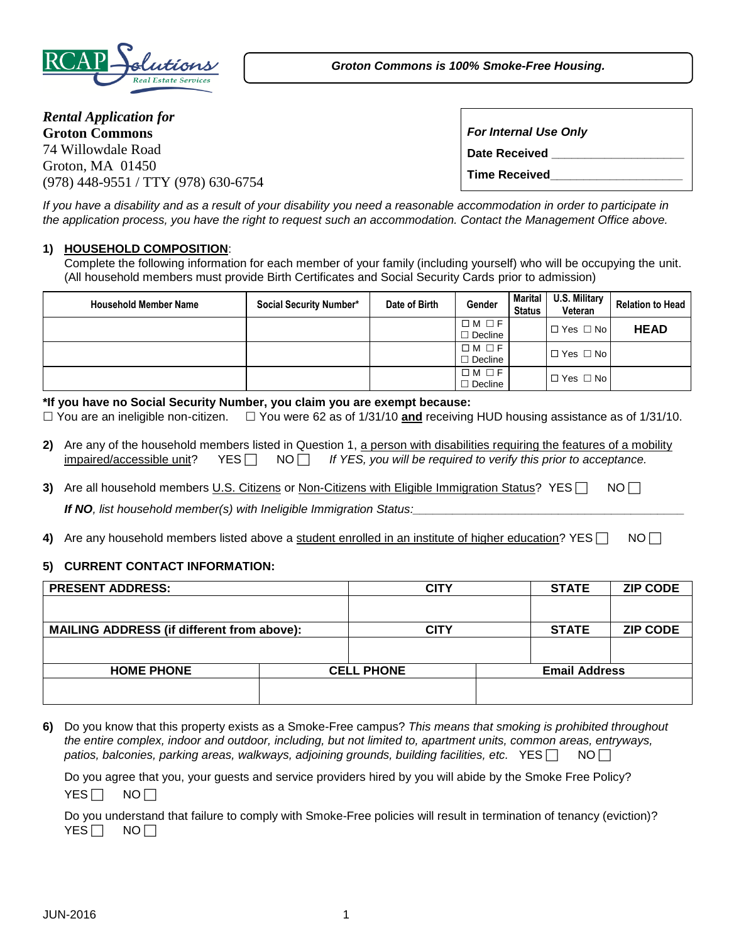

*Groton Commons is 100% Smoke-Free Housing.*

*Rental Application for* **Groton Commons** 74 Willowdale Road Groton, MA 01450 (978) 448-9551 / TTY (978) 630-6754

*For Internal Use Only* **Date Received \_\_\_\_\_\_\_\_\_\_\_\_\_\_\_\_\_\_\_\_ Time Received\_\_\_\_\_\_\_\_\_\_\_\_\_\_\_\_\_\_\_\_**

*If you have a disability and as a result of your disability you need a reasonable accommodation in order to participate in the application process, you have the right to request such an accommodation. Contact the Management Office above.*

## **1) HOUSEHOLD COMPOSITION**:

Complete the following information for each member of your family (including yourself) who will be occupying the unit. (All household members must provide Birth Certificates and Social Security Cards prior to admission)

| <b>Household Member Name</b> | Social Security Number* | Date of Birth | Gender                            | <b>Marital</b><br><b>Status</b> | U.S. Military<br>Veteran | <b>Relation to Head</b> |
|------------------------------|-------------------------|---------------|-----------------------------------|---------------------------------|--------------------------|-------------------------|
|                              |                         |               | $\Box M \Box F$<br>$\Box$ Decline |                                 | $\Box$ Yes $\Box$ No     | <b>HEAD</b>             |
|                              |                         |               | $\Box M \Box F$<br>$\Box$ Decline |                                 | $\Box$ Yes $\Box$ No     |                         |
|                              |                         |               | $\Box M \Box F$<br>$\Box$ Decline |                                 | $\Box$ Yes $\Box$ No     |                         |

#### **\*If you have no Social Security Number, you claim you are exempt because:**

You are an ineligible non-citizen. You were 62 as of 1/31/10 **and** receiving HUD housing assistance as of 1/31/10.

- 2) Are any of the household members listed in Question 1, a person with disabilities requiring the features of a mobility impaired/accessible unit?  $YES \cap NO \cap If YES$ , you will be required to verify this prior to acceptance.
- **3)** Are all household members U.S. Citizens or Non-Citizens with Eligible Immigration Status? YES  $\Box$  NO  $\Box$ *If NO, list household member(s) with Ineligible Immigration Status:\_\_\_\_\_\_\_\_\_\_\_\_\_\_\_\_\_\_\_\_\_\_\_\_\_\_\_\_\_\_\_\_\_\_\_\_\_\_\_\_\_*
- **4)** Are any household members listed above a student enrolled in an institute of higher education? YES  $\Box$  NO  $\Box$

# **5) CURRENT CONTACT INFORMATION:**

| <b>PRESENT ADDRESS:</b>                           | <b>CITY</b>       | <b>STATE</b>         | <b>ZIP CODE</b> |
|---------------------------------------------------|-------------------|----------------------|-----------------|
|                                                   |                   |                      |                 |
| <b>MAILING ADDRESS (if different from above):</b> | CITY              | <b>STATE</b>         | <b>ZIP CODE</b> |
|                                                   |                   |                      |                 |
| <b>HOME PHONE</b>                                 | <b>CELL PHONE</b> | <b>Email Address</b> |                 |
|                                                   |                   |                      |                 |

**6)** Do you know that this property exists as a Smoke-Free campus? *This means that smoking is prohibited throughout the entire complex, indoor and outdoor, including, but not limited to, apartment units, common areas, entryways, patios, balconies, parking areas, walkways, adjoining grounds, building facilities, etc.*  $YES \cap \mathbb{N} \cap \mathbb{N}$ 

|                    | Do you agree that you, your guests and service providers hired by you will abide by the Smoke Free Policy? |  |  |  |  |
|--------------------|------------------------------------------------------------------------------------------------------------|--|--|--|--|
| $YES \Box NO \Box$ |                                                                                                            |  |  |  |  |

Do you understand that failure to comply with Smoke-Free policies will result in termination of tenancy (eviction)?  $YES \Box NO \Box$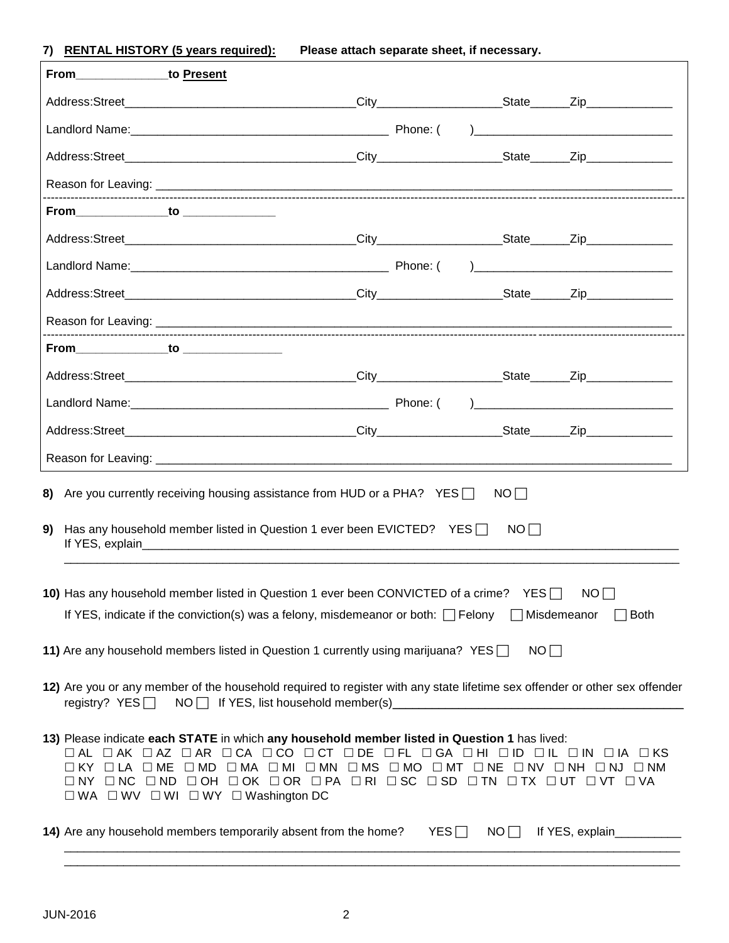**7) RENTAL HISTORY (5 years required): Please attach separate sheet, if necessary.**

|                                                                                                                                                                                                                         | From to Present                                                                                                                                                                                                                                                                                                                                                              |     |           |                           |  |
|-------------------------------------------------------------------------------------------------------------------------------------------------------------------------------------------------------------------------|------------------------------------------------------------------------------------------------------------------------------------------------------------------------------------------------------------------------------------------------------------------------------------------------------------------------------------------------------------------------------|-----|-----------|---------------------------|--|
|                                                                                                                                                                                                                         |                                                                                                                                                                                                                                                                                                                                                                              |     |           |                           |  |
|                                                                                                                                                                                                                         |                                                                                                                                                                                                                                                                                                                                                                              |     |           |                           |  |
|                                                                                                                                                                                                                         |                                                                                                                                                                                                                                                                                                                                                                              |     |           |                           |  |
|                                                                                                                                                                                                                         |                                                                                                                                                                                                                                                                                                                                                                              |     |           |                           |  |
|                                                                                                                                                                                                                         |                                                                                                                                                                                                                                                                                                                                                                              |     |           |                           |  |
|                                                                                                                                                                                                                         |                                                                                                                                                                                                                                                                                                                                                                              |     |           |                           |  |
|                                                                                                                                                                                                                         |                                                                                                                                                                                                                                                                                                                                                                              |     |           |                           |  |
|                                                                                                                                                                                                                         |                                                                                                                                                                                                                                                                                                                                                                              |     |           |                           |  |
|                                                                                                                                                                                                                         |                                                                                                                                                                                                                                                                                                                                                                              |     |           |                           |  |
|                                                                                                                                                                                                                         |                                                                                                                                                                                                                                                                                                                                                                              |     |           |                           |  |
|                                                                                                                                                                                                                         |                                                                                                                                                                                                                                                                                                                                                                              |     |           |                           |  |
|                                                                                                                                                                                                                         |                                                                                                                                                                                                                                                                                                                                                                              |     |           |                           |  |
|                                                                                                                                                                                                                         |                                                                                                                                                                                                                                                                                                                                                                              |     |           |                           |  |
|                                                                                                                                                                                                                         |                                                                                                                                                                                                                                                                                                                                                                              |     |           |                           |  |
|                                                                                                                                                                                                                         | 8) Are you currently receiving housing assistance from HUD or a PHA? YES $\Box$                                                                                                                                                                                                                                                                                              |     | NO        |                           |  |
| 9)                                                                                                                                                                                                                      | Has any household member listed in Question 1 ever been EVICTED? YES $\Box$                                                                                                                                                                                                                                                                                                  |     | NO        |                           |  |
| 10) Has any household member listed in Question 1 ever been CONVICTED of a crime? YES<br>NO<br>If YES, indicate if the conviction(s) was a felony, misdemeanor or both: $\Box$ Felony $\Box$ Misdemeanor<br>$\Box$ Both |                                                                                                                                                                                                                                                                                                                                                                              |     |           |                           |  |
| 11) Are any household members listed in Question 1 currently using marijuana? YES $\Box$<br>NOT                                                                                                                         |                                                                                                                                                                                                                                                                                                                                                                              |     |           |                           |  |
| 12) Are you or any member of the household required to register with any state lifetime sex offender or other sex offender<br>registry? $YES$ $\Box$ NO $\Box$ If YES, list household member(s) $\Box$                  |                                                                                                                                                                                                                                                                                                                                                                              |     |           |                           |  |
|                                                                                                                                                                                                                         | 13) Please indicate each STATE in which any household member listed in Question 1 has lived:<br>OAL OAK OAZ OAR OCA OCO OCT ODE OFL OGA OHI OID OIL OIN OIA OKS<br>OKY OLA OME OMD OMA OMI OMN OMS OMO OMT ONE ONV ONH ONJ ONM<br>ONY ONC OND OOH OOK OOR OPA ORI OSC OSD OTN OTX OUT OVT OVA<br>$\square$ WA $\square$ WV $\square$ WI $\square$ WY $\square$ Washington DC |     |           |                           |  |
|                                                                                                                                                                                                                         | 14) Are any household members temporarily absent from the home?                                                                                                                                                                                                                                                                                                              | YES | $NO \Box$ | If YES, explain__________ |  |

\_\_\_\_\_\_\_\_\_\_\_\_\_\_\_\_\_\_\_\_\_\_\_\_\_\_\_\_\_\_\_\_\_\_\_\_\_\_\_\_\_\_\_\_\_\_\_\_\_\_\_\_\_\_\_\_\_\_\_\_\_\_\_\_\_\_\_\_\_\_\_\_\_\_\_\_\_\_\_\_\_\_\_\_\_\_\_\_\_\_\_\_\_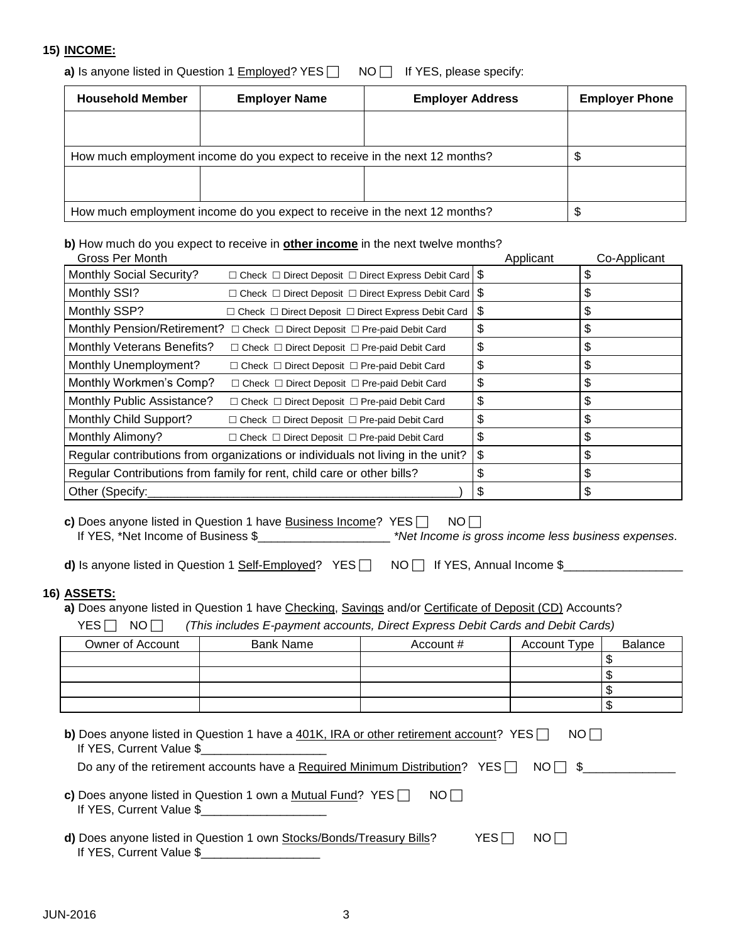## **15) INCOME:**

**a)** Is anyone listed in Question 1 **Employed?** YES **NO** If YES, please specify:

| <b>Household Member</b> | <b>Employer Name</b>                                                       | <b>Employer Address</b> | <b>Employer Phone</b> |
|-------------------------|----------------------------------------------------------------------------|-------------------------|-----------------------|
|                         |                                                                            |                         |                       |
|                         | How much employment income do you expect to receive in the next 12 months? |                         |                       |
|                         |                                                                            |                         |                       |
|                         | How much employment income do you expect to receive in the next 12 months? |                         |                       |

## **b)** How much do you expect to receive in **other income** in the next twelve months?

| Gross Per Month                 |                                                                                 | Applicant | Co-Applicant |
|---------------------------------|---------------------------------------------------------------------------------|-----------|--------------|
| <b>Monthly Social Security?</b> | $\Box$ Check $\Box$ Direct Deposit $\Box$ Direct Express Debit Card $\$\$       |           |              |
| Monthly SSI?                    | $\Box$ Check $\Box$ Direct Deposit $\Box$ Direct Express Debit Card $\$\$       |           | S            |
| Monthly SSP?                    | $\Box$ Check $\Box$ Direct Deposit $\Box$ Direct Express Debit Card             | \$        | S            |
|                                 | Monthly Pension/Retirement? □ Check □ Direct Deposit □ Pre-paid Debit Card      | \$        | \$           |
| Monthly Veterans Benefits?      | $\Box$ Check $\Box$ Direct Deposit $\Box$ Pre-paid Debit Card                   | \$        | S            |
| Monthly Unemployment?           | $\Box$ Check $\Box$ Direct Deposit $\Box$ Pre-paid Debit Card                   | \$        | \$           |
| Monthly Workmen's Comp?         | $\Box$ Check $\Box$ Direct Deposit $\Box$ Pre-paid Debit Card                   | \$        | S            |
| Monthly Public Assistance?      | $\Box$ Check $\Box$ Direct Deposit $\Box$ Pre-paid Debit Card                   | \$        |              |
| Monthly Child Support?          | $\Box$ Check $\Box$ Direct Deposit $\Box$ Pre-paid Debit Card                   | \$        | S            |
| Monthly Alimony?                | $\Box$ Check $\Box$ Direct Deposit $\Box$ Pre-paid Debit Card                   | \$        |              |
|                                 | Regular contributions from organizations or individuals not living in the unit? | \$        | S            |
|                                 | Regular Contributions from family for rent, child care or other bills?          | \$        |              |
| Other (Specify:                 |                                                                                 | \$        |              |

**c)** Does anyone listed in Question 1 have **Business Income?** YES  $\Box$  NO  $\Box$ If YES, \*Net Income of Business \$\_\_\_\_\_\_\_\_\_\_\_\_\_\_\_\_\_\_\_\_ *\*Net Income is gross income less business expenses.*

**d)** Is anyone listed in Question 1 Self-Employed? YES  $\Box$  NO  $\Box$  If YES, Annual Income \$

#### **16) ASSETS:**

a) Does anyone listed in Question 1 have Checking, Savings and/or Certificate of Deposit (CD) Accounts?

YES NO *(This includes E-payment accounts, Direct Express Debit Cards and Debit Cards)*

| Owner of Account | <b>Bank Name</b> | Account # | <b>Account Type</b> | Balance |
|------------------|------------------|-----------|---------------------|---------|
|                  |                  |           |                     |         |
|                  |                  |           |                     | - 11    |
|                  |                  |           |                     | - 11    |
|                  |                  |           |                     | ۰D      |

| <b>b)</b> Does anyone listed in Question 1 have a 401K, IRA or other retirement account? YES $\Box$<br>NOT |  |
|------------------------------------------------------------------------------------------------------------|--|
| If YES, Current Value \$                                                                                   |  |
| Do any of the retirement accounts have a Required Minimum Distribution? YES $\Box$ NO $\Box$ \$            |  |
|                                                                                                            |  |
| c) Does anyone listed in Question 1 own a Mutual Fund? $YES \Box$<br>NOT                                   |  |
| If YES, Current Value \$                                                                                   |  |

| d) Does anyone listed in Question 1 own Stocks/Bonds/Treasury Bills? | $YES \Box NO \Box$ |  |
|----------------------------------------------------------------------|--------------------|--|
| If YES, Current Value \$                                             |                    |  |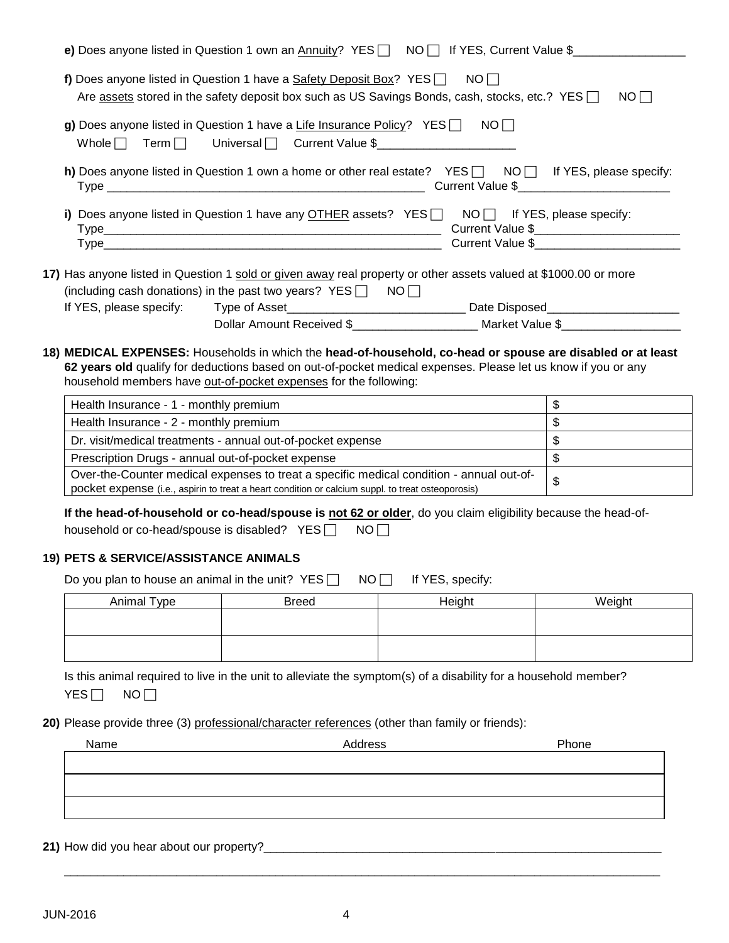| e) Does anyone listed in Question 1 own an Annuity? YES   NO   If YES, Current Value \$                                                                                                                                                                                                          |                          |
|--------------------------------------------------------------------------------------------------------------------------------------------------------------------------------------------------------------------------------------------------------------------------------------------------|--------------------------|
| f) Does anyone listed in Question 1 have a Safety Deposit Box? YES $\Box$ NO $\Box$<br>Are assets stored in the safety deposit box such as US Savings Bonds, cash, stocks, etc.? YES $\Box$                                                                                                      | NO                       |
| g) Does anyone listed in Question 1 have a Life Insurance Policy? YES $\Box$ NO $\Box$<br>Whole Term Universal Current Value \$                                                                                                                                                                  |                          |
| h) Does anyone listed in Question 1 own a home or other real estate? YES NOM If YES, please specify:                                                                                                                                                                                             |                          |
| i) Does anyone listed in Question 1 have any $\overline{OTHER}$ assets? YES $\Box$ NO $\Box$ If YES, please specify:                                                                                                                                                                             |                          |
| 17) Has anyone listed in Question 1 sold or given away real property or other assets valued at \$1000.00 or more<br>(including cash donations) in the past two years? $YES \Box \quad NO \Box$                                                                                                   |                          |
| Dollar Amount Received \$_______________________ Market Value \$__________________                                                                                                                                                                                                               |                          |
| 18) MEDICAL EXPENSES: Households in which the head-of-household, co-head or spouse are disabled or at least<br>62 years old qualify for deductions based on out-of-pocket medical expenses. Please let us know if you or any<br>household members have out-of-pocket expenses for the following: |                          |
| Health Insurance - 1 - monthly premium<br><u> 1989 - Johann John Stone, Amerikaansk politiker († 1908)</u>                                                                                                                                                                                       | $\sqrt[6]{\frac{1}{2}}$  |
| Health Insurance - 2 - monthly premium                                                                                                                                                                                                                                                           |                          |
| Dr. visit/medical treatments - annual out-of-pocket expense                                                                                                                                                                                                                                      | $\overline{\mathbf{s}}$  |
| Prescription Drugs - annual out-of-pocket expense                                                                                                                                                                                                                                                | $\overline{\mathcal{S}}$ |
| Over-the-Counter medical expenses to treat a specific medical condition - annual out-of-<br>pocket expense (i.e., aspirin to treat a heart condition or calcium suppl. to treat osteoporosis)                                                                                                    | $\mathbf{\hat{z}}$       |
| If the head-of-household or co-head/spouse is not 62 or older, do you claim eligibility because the head-of-<br>household or co-head/spouse is disabled? YES<br>NO <sub>1</sub>                                                                                                                  |                          |
| <b>19) PETS &amp; SERVICE/ASSISTANCE ANIMALS</b>                                                                                                                                                                                                                                                 |                          |
| Do you plan to house an animal in the unit? $YES$<br>$NO \Box$ If YES, specify:                                                                                                                                                                                                                  |                          |

| Animal Type | <b>Breed</b> | Height | Weiaht |
|-------------|--------------|--------|--------|
|             |              |        |        |
|             |              |        |        |
|             |              |        |        |

Is this animal required to live in the unit to alleviate the symptom(s) of a disability for a household member?  $YES$  NO

20) Please provide three (3) professional/character references (other than family or friends):

| Name | Address | Phone |
|------|---------|-------|
|      |         |       |
|      |         |       |
|      |         |       |
|      |         |       |
|      |         |       |

\_\_\_\_\_\_\_\_\_\_\_\_\_\_\_\_\_\_\_\_\_\_\_\_\_\_\_\_\_\_\_\_\_\_\_\_\_\_\_\_\_\_\_\_\_\_\_\_\_\_\_\_\_\_\_\_\_\_\_\_\_\_\_\_\_\_\_\_\_\_\_\_\_\_\_\_\_\_\_\_\_\_\_\_\_\_\_\_\_\_

**21)** How did you hear about our property?\_\_\_\_\_\_\_\_\_\_\_\_\_\_\_\_\_\_\_\_\_\_\_\_\_\_\_\_\_\_\_\_\_\_\_\_\_\_\_\_\_\_\_\_\_\_\_\_\_\_\_\_\_\_\_\_\_\_\_\_